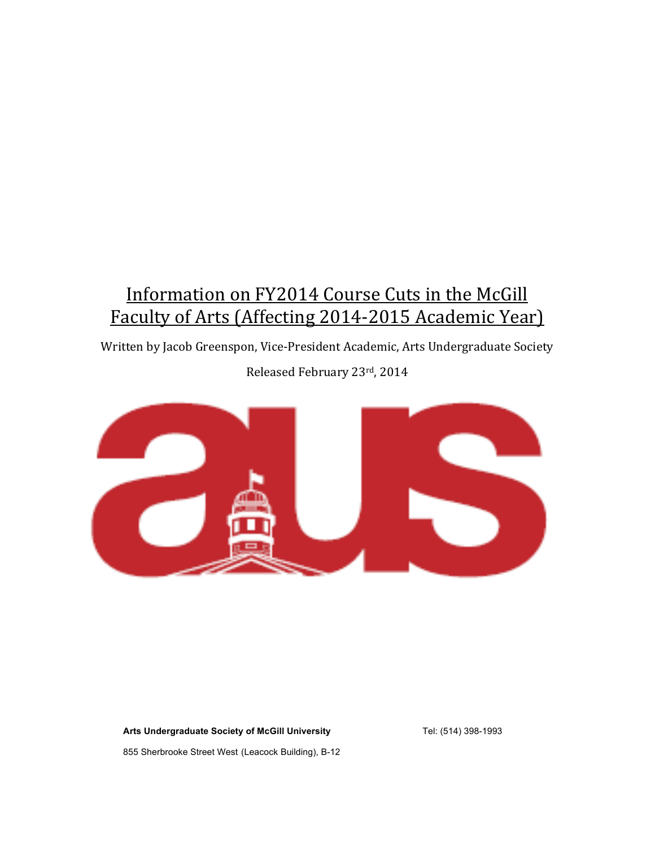# Information on FY2014 Course Cuts in the McGill Faculty of Arts (Affecting 2014-2015 Academic Year)

Written by Jacob Greenspon, Vice-President Academic, Arts Undergraduate Society

Released February 23rd, 2014



**Arts Undergraduate Society of McGill University**

Tel: (514) 398-1993

855 Sherbrooke Street West (Leacock Building), B-12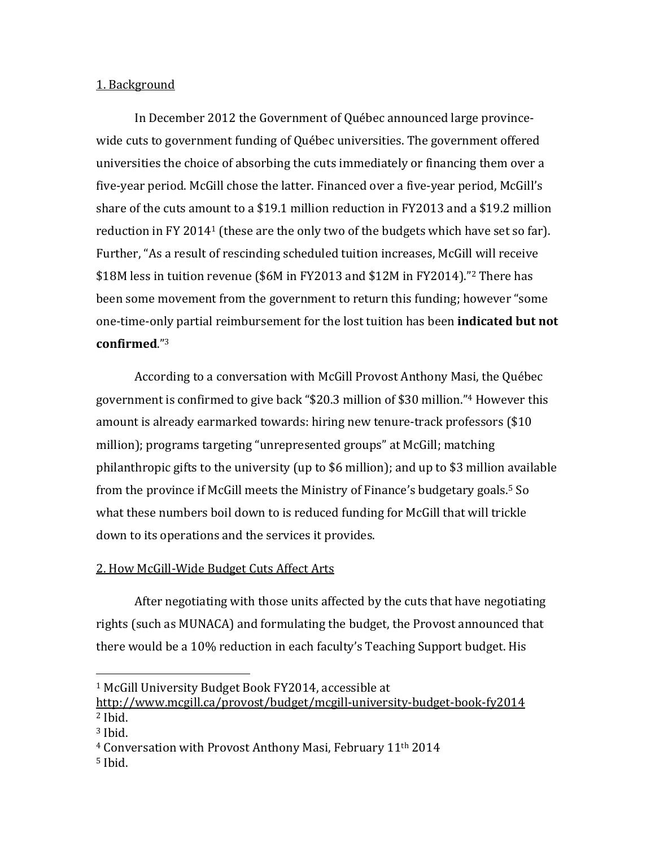### 1. Background

In December 2012 the Government of Québec announced large provincewide cuts to government funding of Québec universities. The government offered universities the choice of absorbing the cuts immediately or financing them over a five-year period. McGill chose the latter. Financed over a five-year period, McGill's share of the cuts amount to a \$19.1 million reduction in FY2013 and a \$19.2 million reduction in FY 2014<sup>1</sup> (these are the only two of the budgets which have set so far). Further, "As a result of rescinding scheduled tuition increases, McGill will receive \$18M less in tuition revenue (\$6M in FY2013 and \$12M in FY2014)."<sup>2</sup> There has been some movement from the government to return this funding; however "some" one-time-only partial reimbursement for the lost tuition has been **indicated but not confirmed**."3

According to a conversation with McGill Provost Anthony Masi, the Québec government is confirmed to give back "\$20.3 million of \$30 million."<sup>4</sup> However this amount is already earmarked towards: hiring new tenure-track professors (\$10) million); programs targeting "unrepresented groups" at McGill; matching philanthropic gifts to the university (up to \$6 million); and up to \$3 million available from the province if McGill meets the Ministry of Finance's budgetary goals.<sup>5</sup> So what these numbers boil down to is reduced funding for McGill that will trickle down to its operations and the services it provides.

# 2. How McGill-Wide Budget Cuts Affect Arts

 

After negotiating with those units affected by the cuts that have negotiating rights (such as MUNACA) and formulating the budget, the Provost announced that there would be a 10% reduction in each faculty's Teaching Support budget. His

<sup>&</sup>lt;sup>1</sup> McGill University Budget Book FY2014, accessible at

http://www.mcgill.ca/provost/budget/mcgill-university-budget-book-fy2014  $2$  Ibid.

<sup>&</sup>lt;sup>3</sup> Ibid.

<sup>&</sup>lt;sup>4</sup> Conversation with Provost Anthony Masi, February 11<sup>th</sup> 2014

 $5$  Ibid.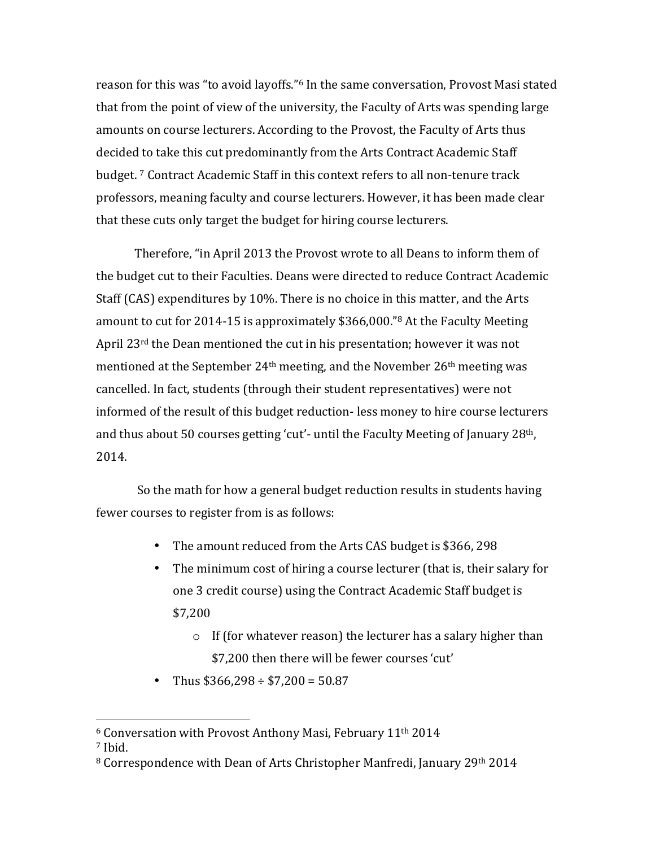reason for this was "to avoid layoffs."<sup>6</sup> In the same conversation, Provost Masi stated that from the point of view of the university, the Faculty of Arts was spending large amounts on course lecturers. According to the Provost, the Faculty of Arts thus decided to take this cut predominantly from the Arts Contract Academic Staff budget.<sup>7</sup> Contract Academic Staff in this context refers to all non-tenure track professors, meaning faculty and course lecturers. However, it has been made clear that these cuts only target the budget for hiring course lecturers.

Therefore, "in April 2013 the Provost wrote to all Deans to inform them of the budget cut to their Faculties. Deans were directed to reduce Contract Academic Staff (CAS) expenditures by 10%. There is no choice in this matter, and the Arts amount to cut for 2014-15 is approximately \$366,000."<sup>8</sup> At the Faculty Meeting April  $23<sup>rd</sup>$  the Dean mentioned the cut in his presentation; however it was not mentioned at the September 24<sup>th</sup> meeting, and the November 26<sup>th</sup> meeting was cancelled. In fact, students (through their student representatives) were not informed of the result of this budget reduction- less money to hire course lecturers and thus about 50 courses getting 'cut'- until the Faculty Meeting of January  $28<sup>th</sup>$ , 2014. 

So the math for how a general budget reduction results in students having fewer courses to register from is as follows:

- The amount reduced from the Arts CAS budget is \$366, 298
- The minimum cost of hiring a course lecturer (that is, their salary for one 3 credit course) using the Contract Academic Staff budget is \$7,200
	- $\circ$  If (for whatever reason) the lecturer has a salary higher than \$7,200 then there will be fewer courses 'cut'
- Thus  $$366,298 \div $7,200 = 50.87$

 

 $6$  Conversation with Provost Anthony Masi, February 11<sup>th</sup> 2014

<sup>7</sup> Ibid.

<sup>&</sup>lt;sup>8</sup> Correspondence with Dean of Arts Christopher Manfredi, January 29th 2014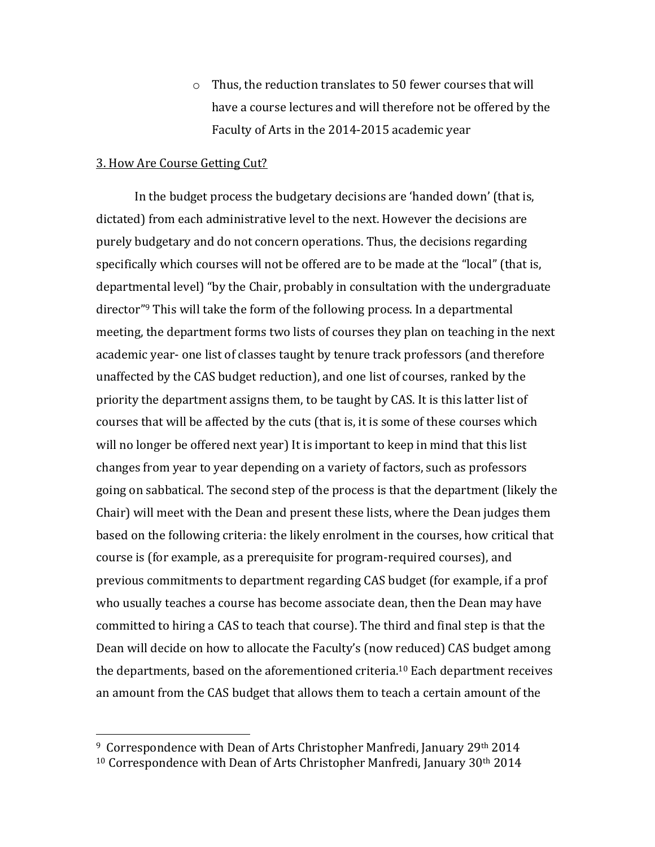$\circ$  Thus, the reduction translates to 50 fewer courses that will have a course lectures and will therefore not be offered by the Faculty of Arts in the 2014-2015 academic year

#### 3. How Are Course Getting Cut?

 

In the budget process the budgetary decisions are 'handed down' (that is, dictated) from each administrative level to the next. However the decisions are purely budgetary and do not concern operations. Thus, the decisions regarding specifically which courses will not be offered are to be made at the "local" (that is, departmental level) "by the Chair, probably in consultation with the undergraduate director"<sup>9</sup> This will take the form of the following process. In a departmental meeting, the department forms two lists of courses they plan on teaching in the next academic year- one list of classes taught by tenure track professors (and therefore unaffected by the CAS budget reduction), and one list of courses, ranked by the priority the department assigns them, to be taught by CAS. It is this latter list of courses that will be affected by the cuts (that is, it is some of these courses which will no longer be offered next year) It is important to keep in mind that this list changes from year to year depending on a variety of factors, such as professors going on sabbatical. The second step of the process is that the department (likely the Chair) will meet with the Dean and present these lists, where the Dean judges them based on the following criteria: the likely enrolment in the courses, how critical that course is (for example, as a prerequisite for program-required courses), and previous commitments to department regarding CAS budget (for example, if a prof who usually teaches a course has become associate dean, then the Dean may have committed to hiring a CAS to teach that course). The third and final step is that the Dean will decide on how to allocate the Faculty's (now reduced) CAS budget among the departments, based on the aforementioned criteria.<sup>10</sup> Each department receives an amount from the CAS budget that allows them to teach a certain amount of the

 $9$  Correspondence with Dean of Arts Christopher Manfredi, January 29th 2014  $10$  Correspondence with Dean of Arts Christopher Manfredi, January  $30<sup>th</sup> 2014$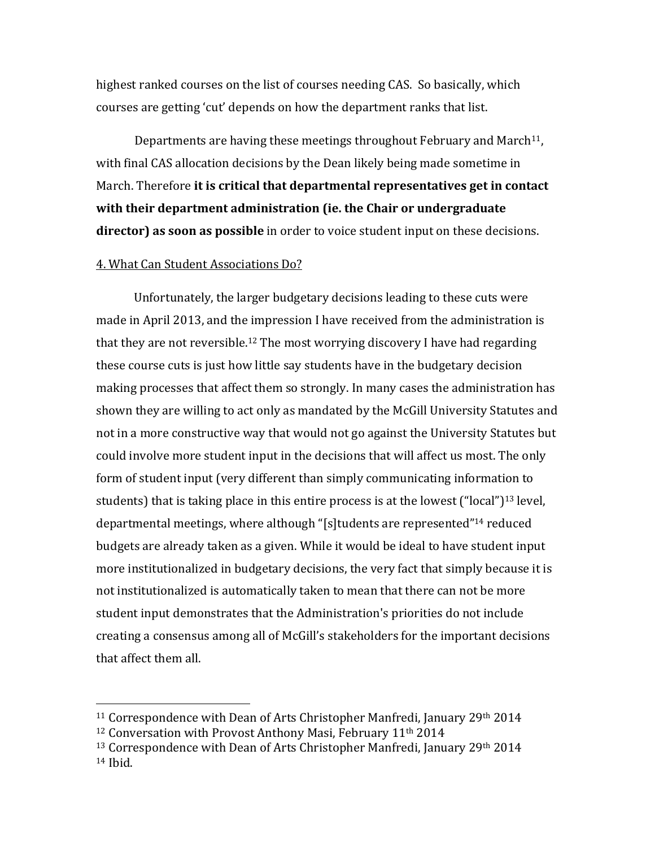highest ranked courses on the list of courses needing CAS. So basically, which courses are getting 'cut' depends on how the department ranks that list.

Departments are having these meetings throughout February and March<sup>11</sup>, with final CAS allocation decisions by the Dean likely being made sometime in March. Therefore it is critical that departmental representatives get in contact with their department administration (ie. the Chair or undergraduate **director)** as soon as possible in order to voice student input on these decisions.

## 4. What Can Student Associations Do?

Unfortunately, the larger budgetary decisions leading to these cuts were made in April 2013, and the impression I have received from the administration is that they are not reversible.<sup>12</sup> The most worrying discovery I have had regarding these course cuts is just how little say students have in the budgetary decision making processes that affect them so strongly. In many cases the administration has shown they are willing to act only as mandated by the McGill University Statutes and not in a more constructive way that would not go against the University Statutes but could involve more student input in the decisions that will affect us most. The only form of student input (very different than simply communicating information to students) that is taking place in this entire process is at the lowest ("local")<sup>13</sup> level, departmental meetings, where although "[s]tudents are represented"<sup>14</sup> reduced budgets are already taken as a given. While it would be ideal to have student input more institutionalized in budgetary decisions, the very fact that simply because it is not institutionalized is automatically taken to mean that there can not be more student input demonstrates that the Administration's priorities do not include creating a consensus among all of McGill's stakeholders for the important decisions that affect them all.

 

 $11$  Correspondence with Dean of Arts Christopher Manfredi, January 29th 2014

 $12$  Conversation with Provost Anthony Masi, February 11<sup>th</sup> 2014

 $13$  Correspondence with Dean of Arts Christopher Manfredi, January 29th 2014  $14$  Ibid.